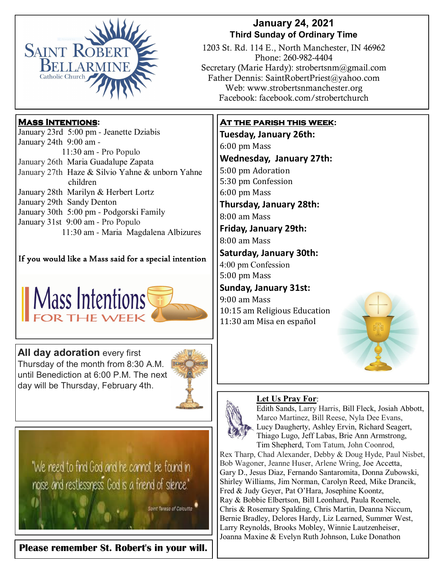

### **January 24, 2021 Third Sunday of Ordinary Time**

1203 St. Rd. 114 E., North Manchester, IN 46962 Phone: 260-982-4404 Secretary (Marie Hardy): strobertsnm@gmail.com Father Dennis: SaintRobertPriest@yahoo.com Web: www.strobertsnmanchester.org Facebook: facebook.com/strobertchurch

## **Mass Intentions:**

| January 23rd 5:00 pm - Jeanette Dziabis         |
|-------------------------------------------------|
| January 24th 9:00 am -                          |
| 11:30 am - Pro Populo                           |
| January 26th Maria Guadalupe Zapata             |
| January 27th Haze & Silvio Yahne & unborn Yahne |
| children                                        |
| January 28th Marilyn & Herbert Lortz            |
| January 29th Sandy Denton                       |
| January 30th 5:00 pm - Podgorski Family         |
| January 31st 9:00 am - Pro Populo               |
| 11:30 am - Maria Magdalena Albizures            |

If you would like a Mass said for a special intention



**All day adoration every first** Thursday of the month from 8:30 A.M. until Benediction at 6:00 P.M. The next day will be Thursday, February 4th.



"We need to find God and he cannot be found in noise and restlessness God is a friend of silence."

Saint Teresa of Calcutta

**Please remember St. Robert's in your will.** 

## **At the parish this week:**

**Tuesday, January 26th:**  6:00 pm Mass **Wednesday, January 27th:** 5:00 pm Adoration 5:30 pm Confession 6:00 pm Mass **Thursday, January 28th:** 8:00 am Mass 

**Friday, January 29th:**  8:00 am Mass 

### **Saturday, January 30th:**

4:00 pm Confession 5:00 pm Mass

## **Sunday, January 31st:**

9:00 am Mass 10:15 am Religious Education 11:30 am Misa en español 



#### **Let Us Pray For**:



Edith Sands, Larry Harris, Bill Fleck, Josiah Abbott, Marco Martinez, Bill Reese, Nyla Dee Evans, Lucy Daugherty, Ashley Ervin, Richard Seagert, Thiago Lugo, Jeff Labas, Brie Ann Armstrong, Tim Shepherd, Tom Tatum, John Coonrod, Rex Tharp, Chad Alexander, Debby & Doug Hyde, Paul Nisbet,

Bob Wagoner, Jeanne Huser, Arlene Wring, Joe Accetta, Gary D., Jesus Diaz, Fernando Santaromita, Donna Zubowski, Shirley Williams, Jim Norman, Carolyn Reed, Mike Drancik, Fred & Judy Geyer, Pat O'Hara, Josephine Koontz, Ray & Bobbie Elbertson, Bill Leonhard, Paula Roemele, Chris & Rosemary Spalding, Chris Martin, Deanna Niccum, Bernie Bradley, Delores Hardy, Liz Learned, Summer West, Larry Reynolds, Brooks Mobley, Winnie Lautzenheiser, Joanna Maxine & Evelyn Ruth Johnson, Luke Donathon